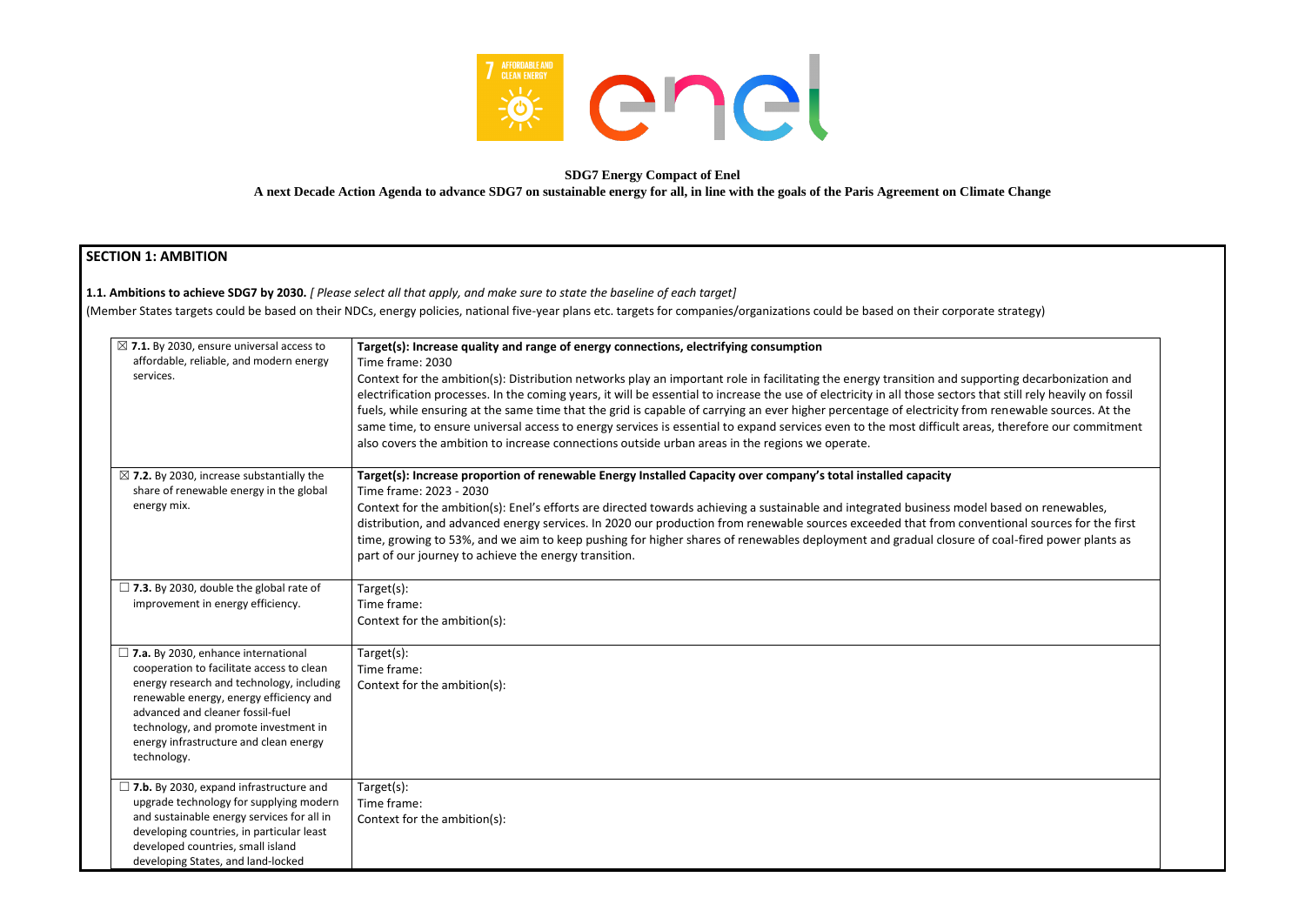

#### **SDG7 Energy Compact of Enel A next Decade Action Agenda to advance SDG7 on sustainable energy for all, in line with the goals of the Paris Agreement on Climate Change**

## **SECTION 1: AMBITION**

**1.1. Ambitions to achieve SDG7 by 2030.** *[ Please select all that apply, and make sure to state the baseline of each target]* 

(Member States targets could be based on their NDCs, energy policies, national five-year plans etc. targets for companies/organizations could be based on their corporate strategy)

| $\boxtimes$ 7.1. By 2030, ensure universal access to<br>affordable, reliable, and modern energy<br>services.                                                                                                                                                                                                          | Target(s): Increase quality and range of energy connections, electrifying consumption<br>Time frame: 2030<br>Context for the ambition(s): Distribution networks play an important role in facilitating the energy transition and suppo<br>electrification processes. In the coming years, it will be essential to increase the use of electricity in all those sectors th<br>fuels, while ensuring at the same time that the grid is capable of carrying an ever higher percentage of electricity from<br>same time, to ensure universal access to energy services is essential to expand services even to the most difficult areas<br>also covers the ambition to increase connections outside urban areas in the regions we operate. |
|-----------------------------------------------------------------------------------------------------------------------------------------------------------------------------------------------------------------------------------------------------------------------------------------------------------------------|----------------------------------------------------------------------------------------------------------------------------------------------------------------------------------------------------------------------------------------------------------------------------------------------------------------------------------------------------------------------------------------------------------------------------------------------------------------------------------------------------------------------------------------------------------------------------------------------------------------------------------------------------------------------------------------------------------------------------------------|
| $\boxtimes$ 7.2. By 2030, increase substantially the<br>share of renewable energy in the global<br>energy mix.                                                                                                                                                                                                        | Target(s): Increase proportion of renewable Energy Installed Capacity over company's total installed capacity<br>Time frame: 2023 - 2030<br>Context for the ambition(s): Enel's efforts are directed towards achieving a sustainable and integrated business model<br>distribution, and advanced energy services. In 2020 our production from renewable sources exceeded that from conve<br>time, growing to 53%, and we aim to keep pushing for higher shares of renewables deployment and gradual closure of<br>part of our journey to achieve the energy transition.                                                                                                                                                                |
| $\Box$ 7.3. By 2030, double the global rate of<br>improvement in energy efficiency.                                                                                                                                                                                                                                   | Target(s):<br>Time frame:<br>Context for the ambition(s):                                                                                                                                                                                                                                                                                                                                                                                                                                                                                                                                                                                                                                                                              |
| $\Box$ 7.a. By 2030, enhance international<br>cooperation to facilitate access to clean<br>energy research and technology, including<br>renewable energy, energy efficiency and<br>advanced and cleaner fossil-fuel<br>technology, and promote investment in<br>energy infrastructure and clean energy<br>technology. | Target(s):<br>Time frame:<br>Context for the ambition(s):                                                                                                                                                                                                                                                                                                                                                                                                                                                                                                                                                                                                                                                                              |
| $\Box$ 7.b. By 2030, expand infrastructure and<br>upgrade technology for supplying modern<br>and sustainable energy services for all in<br>developing countries, in particular least<br>developed countries, small island<br>developing States, and land-locked                                                       | Target(s):<br>Time frame:<br>Context for the ambition(s):                                                                                                                                                                                                                                                                                                                                                                                                                                                                                                                                                                                                                                                                              |

orting decarbonization and nat still rely heavily on fossil renewable sources. At the s, therefore our commitment

based on renewables, entional sources for the first coal-fired power plants as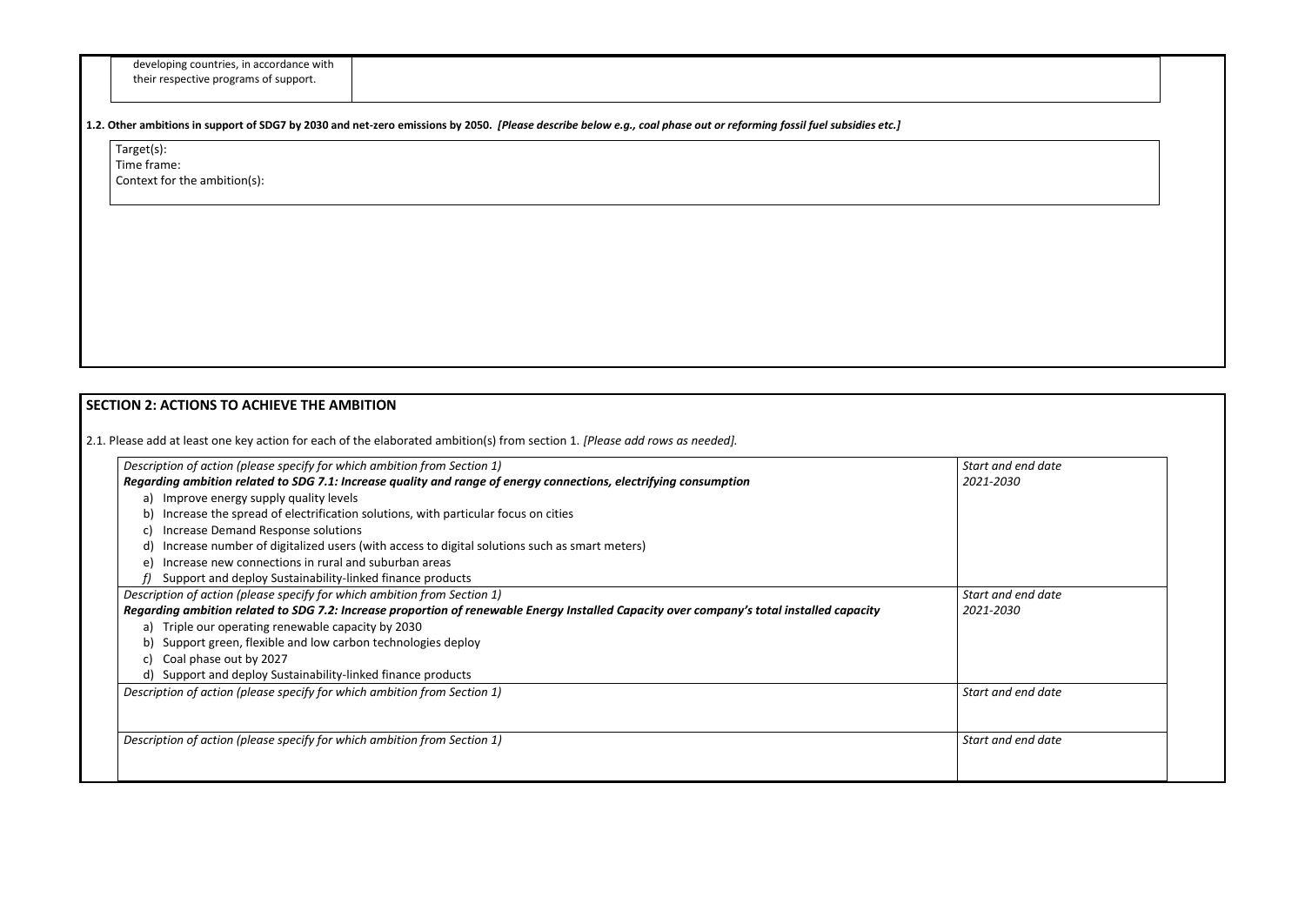| developing countries, in accordance with |
|------------------------------------------|
| their respective programs of support.    |

Target(s): Time frame: Context for the ambition(s):

**1.2. Other ambitions in support of SDG7 by 2030 and net-zero emissions by 2050.** *[Please describe below e.g., coal phase out or reforming fossil fuel subsidies etc.]*

# **SECTION 2: ACTIONS TO ACHIEVE THE AMBITION**

2.1. Please add at least one key action for each of the elaborated ambition(s) from section 1. *[Please add rows as needed].*

| Description of action (please specify for which ambition from Section 1)                                                                  | Start and end date |
|-------------------------------------------------------------------------------------------------------------------------------------------|--------------------|
| Regarding ambition related to SDG 7.1: Increase quality and range of energy connections, electrifying consumption                         | 2021-2030          |
| a) Improve energy supply quality levels                                                                                                   |                    |
| Increase the spread of electrification solutions, with particular focus on cities                                                         |                    |
| Increase Demand Response solutions<br>C)                                                                                                  |                    |
| Increase number of digitalized users (with access to digital solutions such as smart meters)                                              |                    |
| Increase new connections in rural and suburban areas<br>e)                                                                                |                    |
| Support and deploy Sustainability-linked finance products                                                                                 |                    |
| Description of action (please specify for which ambition from Section 1)                                                                  | Start and end date |
| Regarding ambition related to SDG 7.2: Increase proportion of renewable Energy Installed Capacity over company's total installed capacity | 2021-2030          |
| a) Triple our operating renewable capacity by 2030                                                                                        |                    |
| Support green, flexible and low carbon technologies deploy                                                                                |                    |
| Coal phase out by 2027<br>C)                                                                                                              |                    |
| d) Support and deploy Sustainability-linked finance products                                                                              |                    |
| Description of action (please specify for which ambition from Section 1)                                                                  | Start and end date |
|                                                                                                                                           |                    |
| Description of action (please specify for which ambition from Section 1)                                                                  | Start and end date |
|                                                                                                                                           |                    |
|                                                                                                                                           |                    |

| Start and end date              |
|---------------------------------|
| 2021-2030                       |
|                                 |
|                                 |
|                                 |
| Start and end date<br>2021-2030 |
|                                 |
|                                 |
| Start and end date              |
|                                 |
| Start and end date              |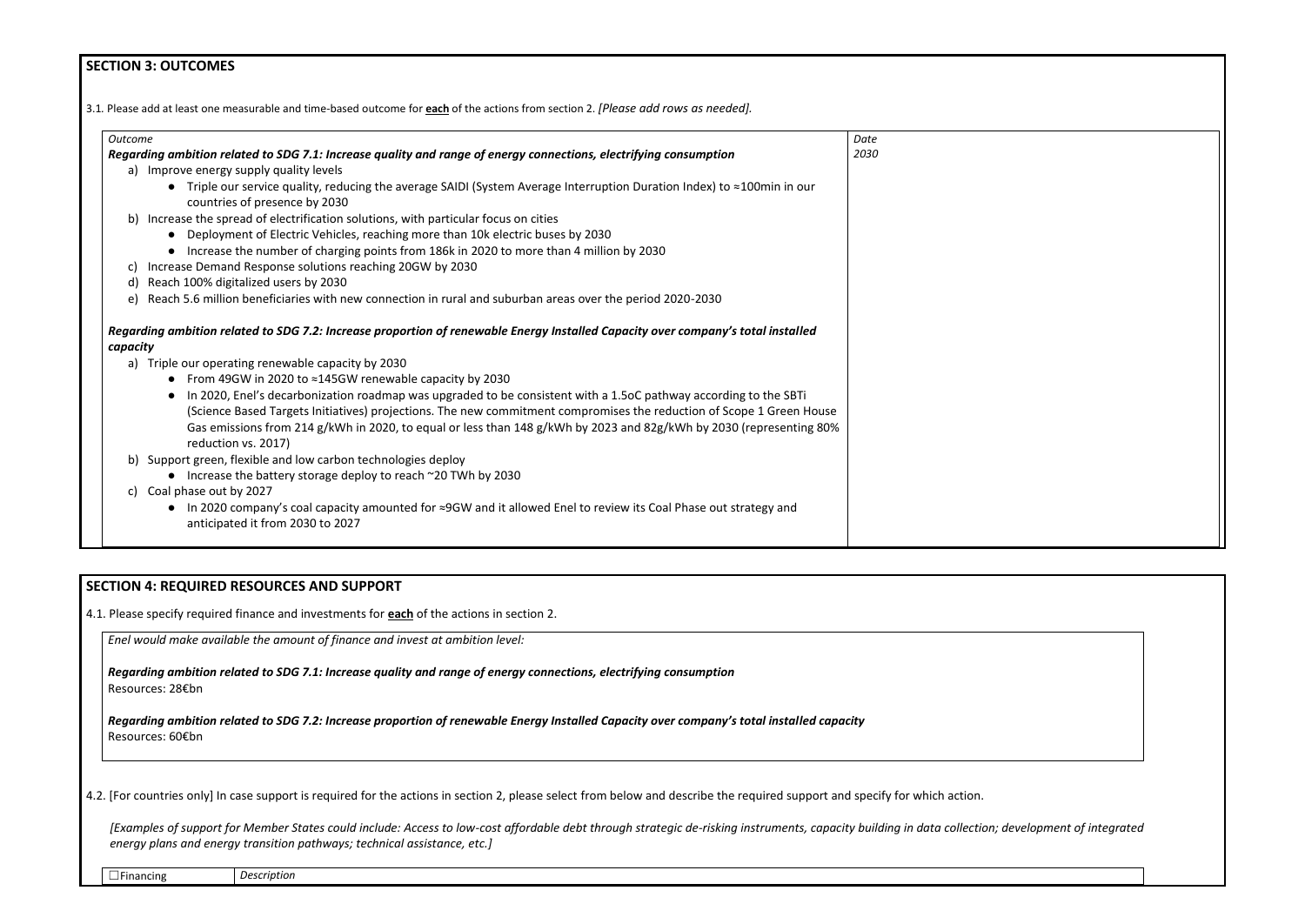## **SECTION 3: OUTCOMES**

3.1*.* Please add at least one measurable and time-based outcome for **each** of the actions from section 2. *[Please add rows as needed].*

| <b>Outcome</b>                                                                                                                                      | Date |
|-----------------------------------------------------------------------------------------------------------------------------------------------------|------|
| Regarding ambition related to SDG 7.1: Increase quality and range of energy connections, electrifying consumption                                   | 2030 |
| a) Improve energy supply quality levels                                                                                                             |      |
| • Triple our service quality, reducing the average SAIDI (System Average Interruption Duration Index) to $\approx$ 100min in our                    |      |
| countries of presence by 2030                                                                                                                       |      |
| b) Increase the spread of electrification solutions, with particular focus on cities                                                                |      |
| • Deployment of Electric Vehicles, reaching more than 10k electric buses by 2030                                                                    |      |
| • Increase the number of charging points from 186k in 2020 to more than 4 million by 2030                                                           |      |
| Increase Demand Response solutions reaching 20GW by 2030<br>C)                                                                                      |      |
| Reach 100% digitalized users by 2030<br>d)                                                                                                          |      |
| e) Reach 5.6 million beneficiaries with new connection in rural and suburban areas over the period 2020-2030                                        |      |
| Regarding ambition related to SDG 7.2: Increase proportion of renewable Energy Installed Capacity over company's total installed<br>capacity        |      |
|                                                                                                                                                     |      |
| a) Triple our operating renewable capacity by 2030                                                                                                  |      |
| • From 49GW in 2020 to $\approx$ 145GW renewable capacity by 2030                                                                                   |      |
| In 2020, Enel's decarbonization roadmap was upgraded to be consistent with a 1.5oC pathway according to the SBTi                                    |      |
| (Science Based Targets Initiatives) projections. The new commitment compromises the reduction of Scope 1 Green House                                |      |
| Gas emissions from 214 g/kWh in 2020, to equal or less than 148 g/kWh by 2023 and 82g/kWh by 2030 (representing 80%                                 |      |
| reduction vs. 2017)                                                                                                                                 |      |
| b) Support green, flexible and low carbon technologies deploy                                                                                       |      |
| • Increase the battery storage deploy to reach ~20 TWh by 2030                                                                                      |      |
| c) Coal phase out by 2027                                                                                                                           |      |
| In 2020 company's coal capacity amounted for ≈9GW and it allowed Enel to review its Coal Phase out strategy and<br>anticipated it from 2030 to 2027 |      |

## **SECTION 4: REQUIRED RESOURCES AND SUPPORT**

4.1. Please specify required finance and investments for **each** of the actions in section 2.

*Enel would make available the amount of finance and invest at ambition level:*

*Regarding ambition related to SDG 7.1: Increase quality and range of energy connections, electrifying consumption* Resources: 28€bn

*Regarding ambition related to SDG 7.2: Increase proportion of renewable Energy Installed Capacity over company's total installed capacity* Resources: 60€bn

4.2. [For countries only] In case support is required for the actions in section 2, please select from below and describe the required support and specify for which action.

*[Examples of support for Member States could include: Access to low-cost affordable debt through strategic de-risking instruments, capacity building in data collection; development of integrated energy plans and energy transition pathways; technical assistance, etc.]*

|  | ancıng<br>. <del>.</del><br>.<br>. . | Description |
|--|--------------------------------------|-------------|
|--|--------------------------------------|-------------|

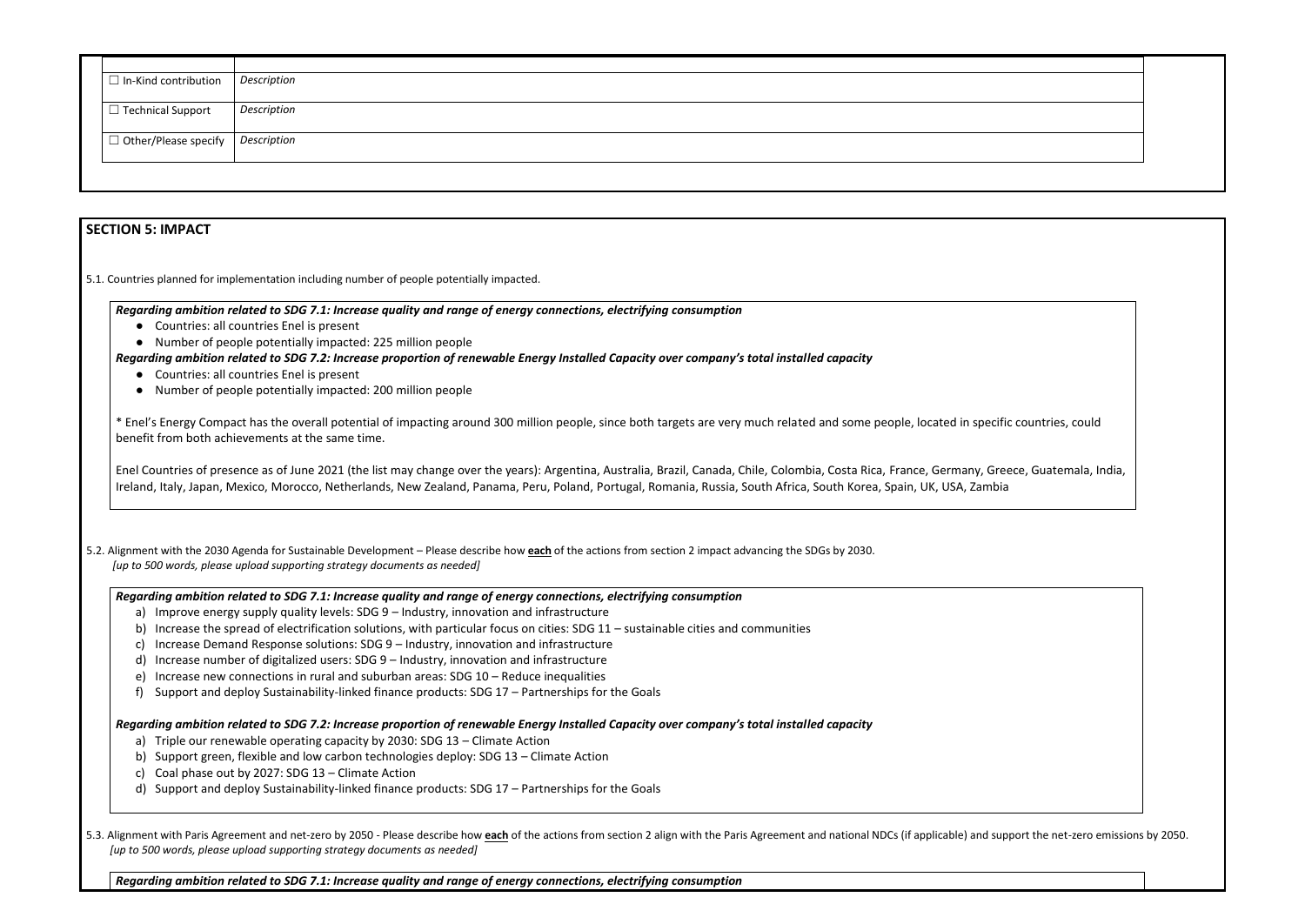| $\Box$ In-Kind contribution         | Description |
|-------------------------------------|-------------|
|                                     |             |
| $\Box$ Technical Support            | Description |
|                                     |             |
| $\Box$ Other/Please specify $\vert$ | Description |
|                                     |             |
|                                     |             |
|                                     |             |
|                                     |             |

### **SECTION 5: IMPACT**

5.1. Countries planned for implementation including number of people potentially impacted.

- Countries: all countries Enel is present
- Number of people potentially impacted: 225 million people

*Regarding ambition related to SDG 7.1: Increase quality and range of energy connections, electrifying consumption*

- Countries: all countries Enel is present
- Number of people potentially impacted: 200 million people

*Regarding ambition related to SDG 7.2: Increase proportion of renewable Energy Installed Capacity over company's total installed capacity*

\* Enel's Energy Compact has the overall potential of impacting around 300 million people, since both targets are very much related and some people, located in specific countries, could benefit from both achievements at the same time.

Enel Countries of presence as of June 2021 (the list may change over the years): Argentina, Australia, Brazil, Canada, Chile, Colombia, Costa Rica, France, Germany, Greece, Guatemala, India, Ireland, Italy, Japan, Mexico, Morocco, Netherlands, New Zealand, Panama, Peru, Poland, Portugal, Romania, Russia, South Africa, South Korea, Spain, UK, USA, Zambia

5.2. Alignment with the 2030 Agenda for Sustainable Development – Please describe how **each** of the actions from section 2 impact advancing the SDGs by 2030. *[up to 500 words, please upload supporting strategy documents as needed]* 

5.3. Alignment with Paris Agreement and net-zero by 2050 - Please describe how each of the actions from section 2 align with the Paris Agreement and national NDCs (if applicable) and support the net-zero emissions by 2050. *[up to 500 words, please upload supporting strategy documents as needed]* 

*Regarding ambition related to SDG 7.1: Increase quality and range of energy connections, electrifying consumption*

- a) Improve energy supply quality levels: SDG 9 Industry, innovation and infrastructure
- b) Increase the spread of electrification solutions, with particular focus on cities: SDG 11 sustainable cities and communities
- c) Increase Demand Response solutions: SDG 9 Industry, innovation and infrastructure
- d) Increase number of digitalized users: SDG 9 Industry, innovation and infrastructure
- e) Increase new connections in rural and suburban areas: SDG 10 Reduce inequalities
- f) Support and deploy Sustainability-linked finance products: SDG 17 Partnerships for the Goals

*Regarding ambition related to SDG 7.2: Increase proportion of renewable Energy Installed Capacity over company's total installed capacity*

- a) Triple our renewable operating capacity by 2030: SDG 13 Climate Action
- b) Support green, flexible and low carbon technologies deploy: SDG 13 Climate Action
- c) Coal phase out by 2027: SDG 13 Climate Action
- d) Support and deploy Sustainability-linked finance products: SDG 17 Partnerships for the Goals

*Regarding ambition related to SDG 7.1: Increase quality and range of energy connections, electrifying consumption*

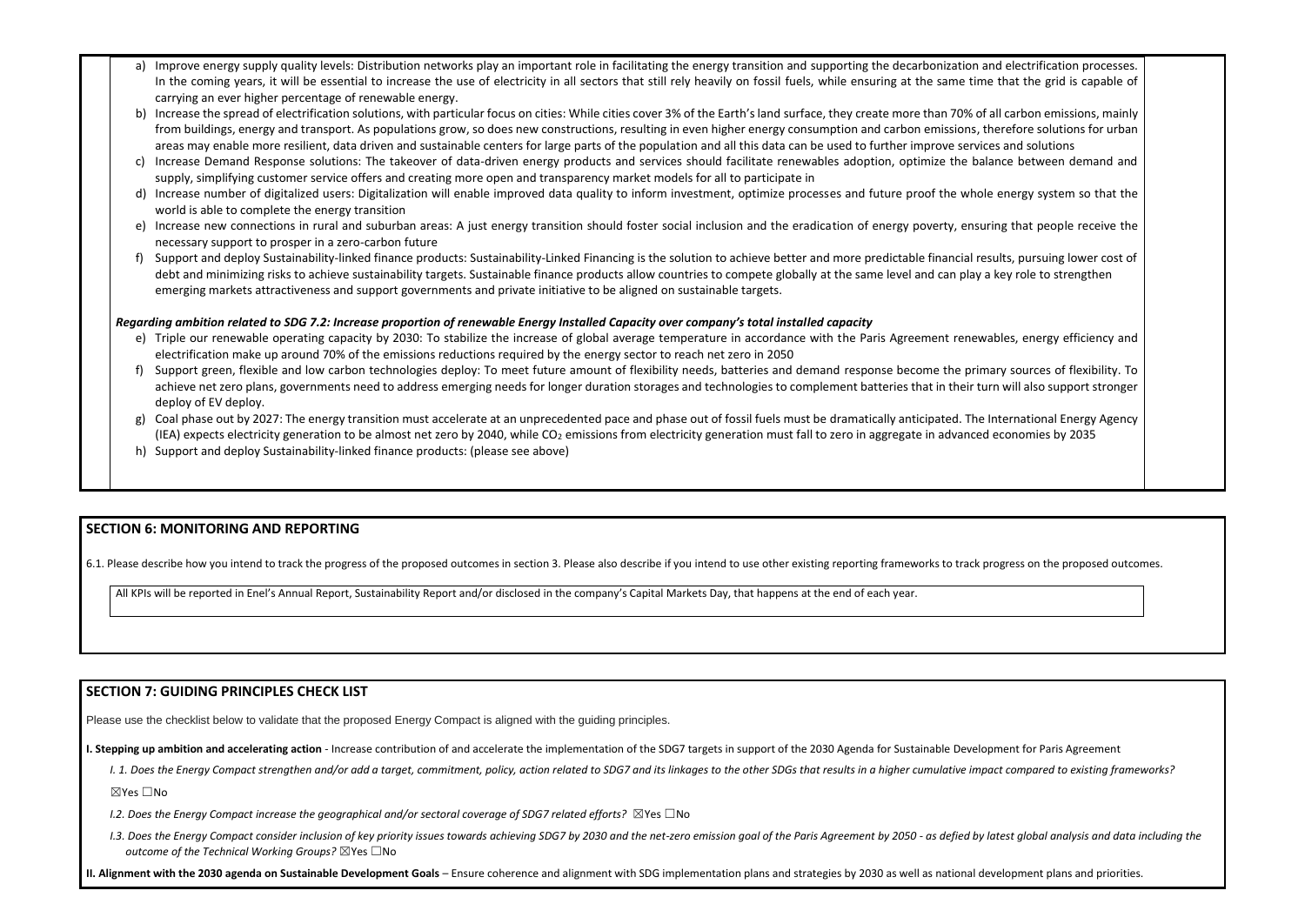- a) Improve energy supply quality levels: Distribution networks play an important role in facilitating the energy transition and supporting the decarbonization a In the coming years, it will be essential to increase the use of electricity in all sectors that still rely heavily on fossil fuels, while ensuring at the same tim carrying an ever higher percentage of renewable energy.
- b) Increase the spread of electrification solutions, with particular focus on cities: While cities cover 3% of the Earth's land surface, they create more than 70% of from buildings, energy and transport. As populations grow, so does new constructions, resulting in even higher energy consumption and carbon emissions, t areas may enable more resilient, data driven and sustainable centers for large parts of the population and all this data can be used to further improve servic
- c) Increase Demand Response solutions: The takeover of data-driven energy products and services should facilitate renewables adoption, optimize the bal supply, simplifying customer service offers and creating more open and transparency market models for all to participate in
- d) Increase number of digitalized users: Digitalization will enable improved data quality to inform investment, optimize processes and future proof the whole world is able to complete the energy transition
- e) Increase new connections in rural and suburban areas: A just energy transition should foster social inclusion and the eradication of energy poverty, ensur necessary support to prosper in a zero-carbon future
- f) Support and deploy Sustainability-linked finance products: Sustainability-Linked Financing is the solution to achieve better and more predictable financial re debt and minimizing risks to achieve sustainability targets. Sustainable finance products allow countries to compete globally at the same level and can play emerging markets attractiveness and support governments and private initiative to be aligned on sustainable targets.

- e) Triple our renewable operating capacity by 2030: To stabilize the increase of global average temperature in accordance with the Paris Agreement renew electrification make up around 70% of the emissions reductions required by the energy sector to reach net zero in 2050
- f) Support green, flexible and low carbon technologies deploy: To meet future amount of flexibility needs, batteries and demand response become the prim achieve net zero plans, governments need to address emerging needs for longer duration storages and technologies to complement batteries that in their tu deploy of EV deploy.
- g) Coal phase out by 2027: The energy transition must accelerate at an unprecedented pace and phase out of fossil fuels must be dramatically anticipated. The (IEA) expects electricity generation to be almost net zero by 2040, while  $CO<sub>2</sub>$  emissions from electricity generation must fall to zero in aggregate in advanced
- h) Support and deploy Sustainability-linked finance products: (please see above)

#### *Regarding ambition related to SDG 7.2: Increase proportion of renewable Energy Installed Capacity over company's total installed capacity*

- I. 1. Does the Energy Compact strengthen and/or add a target, commitment, policy, action related to SDG7 and its linkages to the other SDGs that results in a higher cumulative impact compared to existing frameworks? ☒Yes ☐No
- *I.2. Does the Energy Compact increase the geographical and/or sectoral coverage of SDG7 related efforts?* ⊠Yes □No
- 1.3. Does the Energy Compact consider inclusion of key priority issues towards achieving SDG7 by 2030 and the net-zero emission goal of the Paris Agreement by 2050 as defied by latest global analysis and data including t *outcome of the Technical Working Groups?* ☒Yes ☐No

## **SECTION 6: MONITORING AND REPORTING**

6.1. Please describe how you intend to track the progress of the proposed outcomes in section 3. Please also describe if you intend to use other existing reporting frameworks to track progress on the proposed outcomes.

All KPIs will be reported in Enel's Annual Report, Sustainability Report and/or disclosed in the company's Capital Markets Day, that happens at the end of each year.

## **SECTION 7: GUIDING PRINCIPLES CHECK LIST**

Please use the checklist below to validate that the proposed Energy Compact is aligned with the guiding principles.

**I. Stepping up ambition and accelerating action** - Increase contribution of and accelerate the implementation of the SDG7 targets in support of the 2030 Agenda for Sustainable Development for Paris Agreement

**II. Alignment with the 2030 agenda on Sustainable Development Goals** – Ensure coherence and alignment with SDG implementation plans and strategies by 2030 as well as national development plans and priorities.

| and electrification processes.<br>e that the grid is capable of                                               |  |
|---------------------------------------------------------------------------------------------------------------|--|
| all carbon emissions, mainly<br>herefore solutions for urban<br>ces and solutions<br>lance between demand and |  |
| e energy system so that the                                                                                   |  |
| ring that people receive the                                                                                  |  |
| sults, pursuing lower cost of<br>a key role to strengthen                                                     |  |
|                                                                                                               |  |
| ables, energy efficiency and                                                                                  |  |
| nary sources of flexibility. To<br>irn will also support stronger                                             |  |
| <b>International Energy Agency</b><br>d economies by 2035                                                     |  |
|                                                                                                               |  |
|                                                                                                               |  |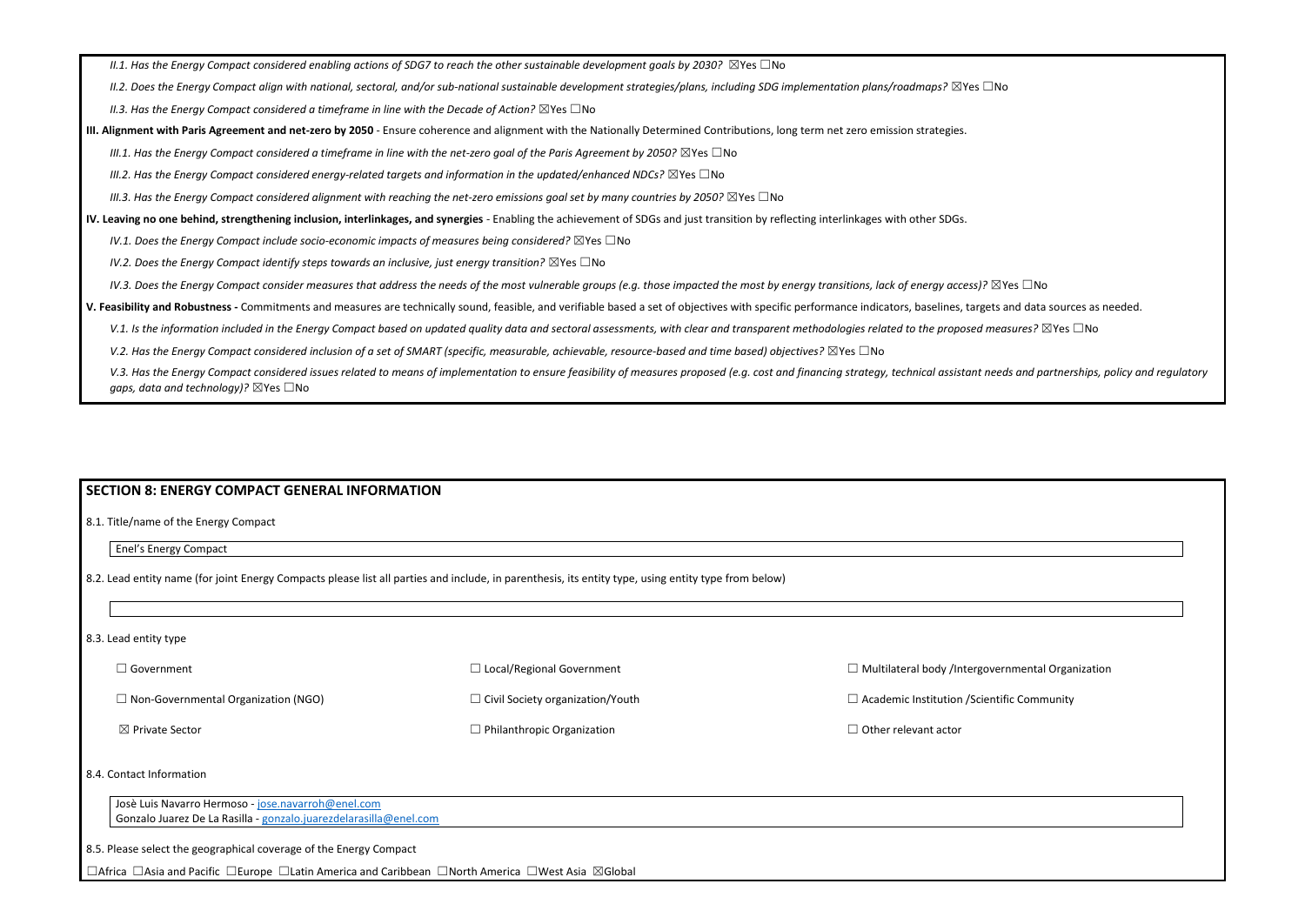*II.1. Has the Energy Compact considered enabling actions of SDG7 to reach the other sustainable development goals by 2030?* ⊠Yes □No

*II.2. Does the Energy Compact align with national, sectoral, and/or sub-national sustainable development strategies/plans, including SDG implementation plans/roadmaps?* ☒Yes ☐No

*II.3. Has the Energy Compact considered a timeframe in line with the Decade of Action?* ⊠Yes □No

**III. Alignment with Paris Agreement and net-zero by 2050** - Ensure coherence and alignment with the Nationally Determined Contributions, long term net zero emission strategies.

*III.1. Has the Energy Compact considered a timeframe in line with the net-zero goal of the Paris Agreement by 2050?* ⊠Yes □No

*III.2. Has the Energy Compact considered energy-related targets and information in the updated/enhanced NDCs?* ⊠Yes □No

*III.3. Has the Energy Compact considered alignment with reaching the net-zero emissions goal set by many countries by 2050?* ⊠Yes □No

**IV. Leaving no one behind, strengthening inclusion, interlinkages, and synergies** - Enabling the achievement of SDGs and just transition by reflecting interlinkages with other SDGs.

*IV.1. Does the Energy Compact include socio-economic impacts of measures being considered?* ⊠Yes □No

*IV.2. Does the Energy Compact identify steps towards an inclusive, just energy transition?* ⊠Yes □No

*IV.3. Does the Energy Compact consider measures that address the needs of the most vulnerable groups (e.g. those impacted the most by energy transitions, lack of energy access)?* ⊠Yes □No

Josè Luis Navarro Hermoso - [jose.navarroh@enel.com](mailto:jose.navarroh@enel.com) Gonzalo Juarez De La Rasilla - [gonzalo.juarezdelarasilla@enel.com](mailto:gonzalo.juarezdelarasilla@enel.com)

**V. Feasibility and Robustness -** Commitments and measures are technically sound, feasible, and verifiable based a set of objectives with specific performance indicators, baselines, targets and data sources as needed.

V.1. Is the information included in the Energy Compact based on updated quality data and sectoral assessments, with clear and transparent methodologies related to the proposed measures? ⊠Yes □No

*V.2. Has the Energy Compact considered inclusion of a set of SMART (specific, measurable, achievable, resource-based and time based) objectives?* ⊠Yes □No

V.3. Has the Energy Compact considered issues related to means of implementation to ensure feasibility of measures proposed (e.g. cost and financing strategy, technical assistant needs and partnerships, policy and regulato *gaps, data and technology)?* ⊠Yes □No

#### **SECTION 8: ENERGY COMPACT GENERAL INFORMATION**

8.1. Title/name of the Energy Compact

Enel's Energy Compact

8.2. Lead entity name (for joint Energy Compacts please list all parties and include, in parenthesis, its entity type, using entity type from below)

#### 8.3. Lead entity type

| $\Box$ Government                          | $\Box$ Local/Regional Government        | $\Box$ Multilateral body /Intergo |
|--------------------------------------------|-----------------------------------------|-----------------------------------|
| $\Box$ Non-Governmental Organization (NGO) | $\Box$ Civil Society organization/Youth | $\Box$ Academic Institution / Sci |
| $\boxtimes$ Private Sector                 | $\Box$ Philanthropic Organization       | $\Box$ Other relevant actor       |

#### 8.4. Contact Information

8.5. Please select the geographical coverage of the Energy Compact

☐Africa ☐Asia and Pacific ☐Europe ☐Latin America and Caribbean ☐North America ☐West Asia ☒Global

overnmental Organization

entific Community